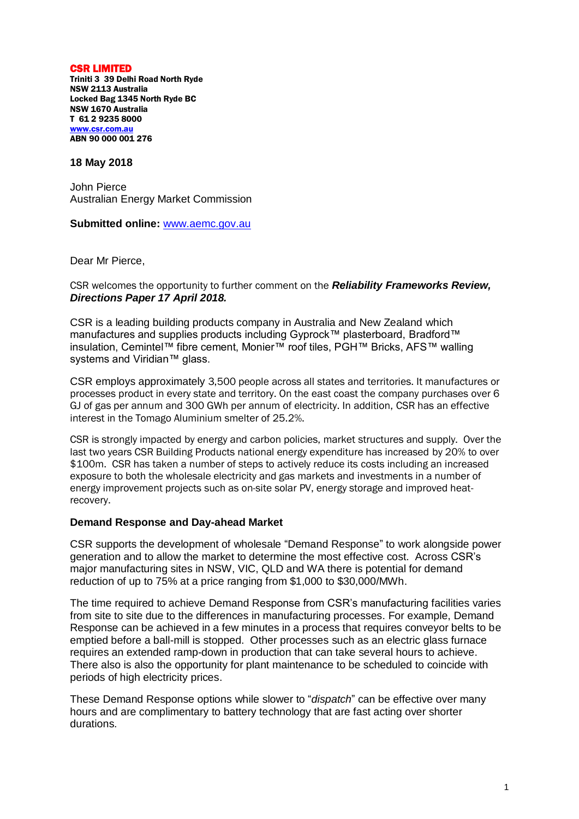CSR LIMITED Triniti 3 39 Delhi Road North Ryde NSW 2113 Australia Locked Bag 1345 North Ryde BC NSW 1670 Australia T 61 2 9235 8000 [www.csr.com.au](http://www.csr.com.au/) ABN 90 000 001 276

## **18 May 2018**

John Pierce Australian Energy Market Commission

**Submitted online:** [www.aemc.gov.au](http://www.aemc.gov.au/)

Dear Mr Pierce,

CSR welcomes the opportunity to further comment on the *Reliability Frameworks Review, Directions Paper 17 April 2018.*

CSR is a leading building products company in Australia and New Zealand which manufactures and supplies products including Gyprock™ plasterboard, Bradford™ insulation, Cemintel™ fibre cement, Monier™ roof tiles, PGH™ Bricks, AFS™ walling systems and Viridian<sup>™</sup> glass.

CSR employs approximately 3,500 people across all states and territories. It manufactures or processes product in every state and territory. On the east coast the company purchases over 6 GJ of gas per annum and 300 GWh per annum of electricity. In addition, CSR has an effective interest in the Tomago Aluminium smelter of 25.2%.

CSR is strongly impacted by energy and carbon policies, market structures and supply. Over the last two years CSR Building Products national energy expenditure has increased by 20% to over \$100m. CSR has taken a number of steps to actively reduce its costs including an increased exposure to both the wholesale electricity and gas markets and investments in a number of energy improvement projects such as on-site solar PV, energy storage and improved heatrecovery.

## **Demand Response and Day-ahead Market**

CSR supports the development of wholesale "Demand Response" to work alongside power generation and to allow the market to determine the most effective cost. Across CSR's major manufacturing sites in NSW, VIC, QLD and WA there is potential for demand reduction of up to 75% at a price ranging from \$1,000 to \$30,000/MWh.

The time required to achieve Demand Response from CSR's manufacturing facilities varies from site to site due to the differences in manufacturing processes. For example, Demand Response can be achieved in a few minutes in a process that requires conveyor belts to be emptied before a ball-mill is stopped. Other processes such as an electric glass furnace requires an extended ramp-down in production that can take several hours to achieve. There also is also the opportunity for plant maintenance to be scheduled to coincide with periods of high electricity prices.

These Demand Response options while slower to "*dispatch*" can be effective over many hours and are complimentary to battery technology that are fast acting over shorter durations.